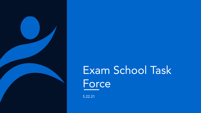

## Exam School Task Force

5.22.21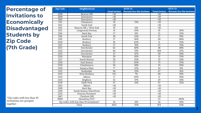**Percentage of Invitations to Economically Disadvantaged Students by Zip Code (7th Grade)**

| <b>Zip Code</b>   | Neighborhood                             |                      | <b>SY20-21</b>                  | <b>SY21-22</b>       |                                 |  |  |
|-------------------|------------------------------------------|----------------------|---------------------------------|----------------------|---------------------------------|--|--|
|                   |                                          | <b>Total Invites</b> | <b>Percent Eco Dis Invitees</b> | <b>Total Invites</b> | <b>Percent Eco Dis Invitees</b> |  |  |
| 2108              | <b>Beacon Hill</b>                       | <10                  |                                 | <10                  |                                 |  |  |
| 2109              | Downtown                                 | $\overline{10}$      |                                 | $\overline{10}$      |                                 |  |  |
| 2110              | Downtown                                 | <10                  |                                 | <10                  |                                 |  |  |
| 2111              | Chinatown                                | $\overline{24}$      | 75%                             | $\overline{10}$      |                                 |  |  |
| $\overline{2113}$ | North End                                | <10                  |                                 | $\overline{10}$      |                                 |  |  |
| $\overline{2114}$ | Beacon Hill / West End                   | 19                   | $11\%$                          | $\overline{<}10$     |                                 |  |  |
| 2115              | Longwood/Fenway                          | $\overline{14}$      | 43%                             | $\overline{10}$      | 20%                             |  |  |
| 2116              | Back Bay                                 | 27                   | 0%                              | 13                   | 23%                             |  |  |
| 2118              | South End                                | 36                   | 33%                             | 27                   | 19%                             |  |  |
| 2119              | Roxbury                                  | $\overline{27}$      | 56%                             | 50                   | 68%                             |  |  |
| 2120              | Roxbury                                  | 16                   | 63%                             | $\overline{11}$      | 55%                             |  |  |
| 2121              | Roxbury                                  | $\overline{27}$      | 78%                             | 67                   | 76%                             |  |  |
| 2122              | Dorchester                               | 62                   | 40%                             | 48                   | 48%                             |  |  |
| 2124              | Dorchester                               | 84                   | 51%                             | 109                  | 47%                             |  |  |
| 2125              | Dorchester                               | 47                   | 47%                             | 59                   | 59%                             |  |  |
| 2126              | Mattapan                                 | 20                   | 45%                             | $\overline{51}$      | 53%                             |  |  |
| 2127              | South Boston                             | 34                   | 35%                             | $\overline{35}$      | 34%                             |  |  |
| 2128              | <b>East Boston</b>                       | 57                   | 65%                             | 75                   | 55%                             |  |  |
| 2129              | Charlestown                              | $\overline{56}$      | 38%                             | $\overline{35}$      | 20%                             |  |  |
| 2130              | Jamaica Plain                            | $\overline{77}$      | 12%                             | $\overline{54}$      | 6%                              |  |  |
| 2131              | Roslindale                               | 94                   | 33%                             | 67                   | 16%                             |  |  |
| 2132              | West Roxbury                             | 133                  | 7%                              | 69                   | 10%                             |  |  |
| 2134              | Allston                                  | $\overline{17}$      | 65%                             | $\overline{11}$      | 36%                             |  |  |
| 2135              | Brighton                                 | $\overline{52}$      | 37%                             | 29                   | 34%                             |  |  |
| 2136              | <b>Hyde Park</b>                         | 67                   | 31%                             | 67                   | 33%                             |  |  |
| 2163              | Allston                                  | <10                  |                                 | <10                  |                                 |  |  |
| 2199              | <b>Back Bay</b>                          | <10                  |                                 | $\overline{10}$      |                                 |  |  |
| 2210              | South Boston Waterfront                  | <10                  |                                 | $\overline{10}$      |                                 |  |  |
| 2215              | Fenway/Kenmore                           | $\overline{10}$      |                                 | $\overline{10}$      |                                 |  |  |
| 2467              | Chestnut Hill                            | <10                  |                                 | $\overline{10}$      |                                 |  |  |
| 9999              | Homeless/DCF                             |                      |                                 | 53                   | 100%                            |  |  |
|                   | Zip codes with less than 10 invitations* | 35                   | 11%                             | $\overline{34}$      | 26%                             |  |  |
| Total             |                                          | 1025                 | 35%                             | 974                  | 43%                             |  |  |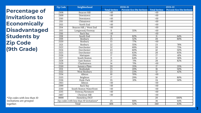**Percentage of Invitations to Economically Disadvantaged Students by Zip Code (9th Grade)**

| <b>Zip Code</b>                          | Neighborhood            |                      | <b>SY20-21</b>                         | <b>SY21-22</b>   |                                 |  |  |
|------------------------------------------|-------------------------|----------------------|----------------------------------------|------------------|---------------------------------|--|--|
|                                          |                         | <b>Total Invites</b> | Percent Eco Dis Invitees Total Invites |                  | <b>Percent Eco Dis Invitees</b> |  |  |
| 2108                                     | <b>Beacon Hill</b>      | <10                  |                                        | <10              |                                 |  |  |
| 2109                                     | Downtown                | $\overline{10}$      |                                        | $\overline{10}$  |                                 |  |  |
| 2110                                     | Downtown                | <10                  |                                        | <10              |                                 |  |  |
| 2111                                     | Chinatown               | <10                  |                                        | <10              |                                 |  |  |
| 2113                                     | North End               | <10                  |                                        | <10              |                                 |  |  |
| 2114                                     | Beacon Hill / West End  | <10                  |                                        | $\overline{<}10$ |                                 |  |  |
| 2115                                     | Longwood/Fenway         | 11                   | 55%                                    | <10              |                                 |  |  |
| 2116                                     | <b>Back Bay</b>         | <10                  |                                        | <10              |                                 |  |  |
| 2118                                     | South End               | $\overline{11}$      | 82%                                    | 11               | 64%                             |  |  |
| 2119                                     | Roxbury                 | $\overline{25}$      | 52%                                    | $\overline{20}$  | 80%                             |  |  |
| 2120                                     | Roxbury                 | 13                   | 77%                                    | $\overline{50}$  |                                 |  |  |
| 2121                                     | Roxbury                 | 22                   | 55%                                    | 23               | 78%                             |  |  |
| 2122                                     | Dorchester              | $\overline{32}$      | 69%                                    | $\overline{20}$  | 75%                             |  |  |
| 2124                                     | Dorchester              | 43                   | 60%                                    | $\overline{42}$  | 50%                             |  |  |
| 2125                                     | Dorchester              | $\overline{32}$      | 63%                                    | $\overline{20}$  | 65%                             |  |  |
| 2126                                     | Mattapan                | 17                   | 29%                                    | 27               | 41%                             |  |  |
| 2127                                     | South Boston            | $\overline{11}$      | 64%                                    | 12               | 58%                             |  |  |
| 2128                                     | East Boston             | $\overline{21}$      | 71%                                    | $\overline{28}$  | 82%                             |  |  |
| 2129                                     | Charlestown             | 14                   | 71%                                    | <10              |                                 |  |  |
| 2130                                     | Jamaica Plain           | 20                   | 35%                                    | 17               | 35%                             |  |  |
| 2131                                     | Roslindale              | $\overline{25}$      | 20%                                    | $\overline{18}$  | 50%                             |  |  |
| 2132                                     | West Roxbury            | 22                   | 23%                                    | 12               | 42%                             |  |  |
| 2134                                     | Allston                 | 10                   | 70%                                    | <10              |                                 |  |  |
| 2135                                     | Brighton                | $\overline{17}$      | 29%                                    | 10               | 80%                             |  |  |
| 2136                                     | Hyde Park               | 35                   | 31%                                    | 24               | 50%                             |  |  |
| 2163                                     | Allston                 | $\overline{10}$      |                                        | $\overline{10}$  |                                 |  |  |
| 2199                                     | <b>Back Bay</b>         | <10                  |                                        | <10              |                                 |  |  |
| 2210                                     | South Boston Waterfront | <10                  |                                        | <10              |                                 |  |  |
| 2215                                     | Fenway/Kenmore          | <10                  |                                        | <10              |                                 |  |  |
| 2467                                     | <b>Chestnut Hill</b>    | $\overline{<}10$     |                                        | $\overline{<}10$ |                                 |  |  |
| 9999                                     | Homeless/DCF            |                      |                                        | $\overline{20}$  | 100%                            |  |  |
| Zip codes with less than 10 invitations* |                         | $\overline{25}$      | 68%                                    | $\overline{36}$  | 64%                             |  |  |
| Total                                    |                         | 406                  | 52%                                    | 340              | 63%                             |  |  |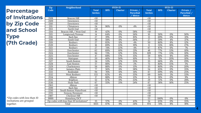| <b>Percentage</b>     |
|-----------------------|
| <b>of Invitations</b> |
| by Zip Code           |
| and School            |
| <b>Type</b>           |
| (7th Grade)           |

| Zip                                      | Neighborhood            |                                |            | <b>SY20-21</b>   |                                               | <b>SY21-22</b>                 |            |                  |                                   |
|------------------------------------------|-------------------------|--------------------------------|------------|------------------|-----------------------------------------------|--------------------------------|------------|------------------|-----------------------------------|
| Code                                     |                         | <b>Total</b><br><b>Invites</b> | <b>BPS</b> | Charter          | Private /<br><b>Parochial</b><br><b>Metco</b> | <b>Total</b><br><b>Invites</b> | <b>BPS</b> | <b>Charter</b>   | Private /<br>Parochial /<br>Metco |
| 2108                                     | Beacon Hill             | <10                            |            |                  |                                               | <10                            |            |                  |                                   |
| 2109                                     | Downtown                | <10                            |            |                  |                                               | <10                            |            |                  |                                   |
| 2110                                     | Downtown                | <10                            |            |                  |                                               | <10                            |            |                  |                                   |
| 2111                                     | Chinatown               | 24                             | 96%        | 0%               | 4%                                            | <10                            |            |                  |                                   |
| 2113                                     | North End               | $\overline{10}$                |            |                  |                                               | $\overline{10}$                |            |                  |                                   |
| 2114                                     | Beacon Hill / West End  | 19                             | 42%        | 0%               | 58%                                           | <10                            |            |                  |                                   |
| 2115                                     | Longwood/Fenway         | 14                             | 64%        | $\overline{0\%}$ | 36%                                           | 10                             | 50%        | $0\%$            | 50%                               |
| 2116                                     | Back Bay                | $\overline{27}$                | 19%        | 0%               | 81%                                           | $\overline{13}$                | 69%        | $\overline{0\%}$ | 31%                               |
| 2118                                     | South End               | $\overline{36}$                | 58%        | 6%               | 36%                                           | $\overline{27}$                | 59%        | 4%               | 37%                               |
| 2119                                     | Roxbury                 | $\overline{27}$                | 85%        | 11%              | 4%                                            | $\overline{50}$                | 80%        | 8%               | 12%                               |
| 2120                                     | Roxbury                 | $\overline{16}$                | 69%        | 13%              | 19%                                           | 11                             | 55%        | 18%              | 27%                               |
| 2121                                     | Roxbury                 | 27                             | 74%        | 22%              | 4%                                            | 67                             | 87%        | 6%               | 7%                                |
| 2122                                     | Dorchester              | 62                             | 69%        | 10%              | 21%                                           | 48                             | 77%        | 13%              | 10%                               |
| 2124                                     | Dorchester              | 84                             | 73%        | 12%              | 15%                                           | 109                            | 77%        | 13%              | 10%                               |
| 2125                                     | Dorchester              | 47                             | 68%        | 17%              | 15%                                           | $\overline{59}$                | 81%        | 8%               | 10%                               |
| 2126                                     | Mattapan                | 20                             | 40%        | 50%              | 10%                                           | 51                             | 71%        | 20%              | 10%                               |
| 2127                                     | South Boston            | 34                             | 53%        | 12%              | 35%                                           | $\overline{35}$                | 66%        | 6%               | 29%                               |
| 2128                                     | East Boston             | 57                             | 88%        | 11%              | 2%                                            | $\overline{75}$                | 80%        | 15%              | 5%                                |
| 2129                                     | Charlestown             | $\overline{56}$                | 88%        | 0%               | 13%                                           | $\overline{35}$                | 80%        | 0%               | 20%                               |
| 2130                                     | Jamaica Plain           | $\overline{77}$                | 56%        | 6%               | 38%                                           | $\overline{54}$                | 65%        | $0\%$            | 35%                               |
| 2131                                     | Roslindale              | 94                             | 76%        | 11%              | 14%                                           | 67                             | 69%        | 6%               | 25%                               |
| 2132                                     | West Roxbury            | 133                            | 62%        | 4%               | 35%                                           | 69                             | 64%        | 3%               | 33%                               |
| 2134                                     | Allston                 | $\overline{17}$                | 88%        | 0%               | 12%                                           | $\overline{11}$                | 91%        | 0%               | 9%                                |
| 2135                                     | Brighton                | $\overline{52}$                | 67%        | 0%               | 33%                                           | 29                             | 72%        | 0%               | 28%                               |
| 2136                                     | Hyde Park               | 67                             | 55%        | 21%              | 24%                                           | 67                             | 58%        | 16%              | 25%                               |
| 2163                                     | Allston                 | <10                            |            |                  |                                               | <10                            |            |                  |                                   |
| 2199                                     | <b>Back Bay</b>         | <10                            |            |                  |                                               | <10                            |            |                  |                                   |
| 2210                                     | South Boston Waterfront | $\overline{50}$                |            |                  |                                               | <10                            |            |                  |                                   |
| 2215                                     | Fenway/Kenmore          | <10                            |            |                  |                                               | <10                            |            |                  |                                   |
| 2467                                     | Chestnut Hill           | $\overline{10}$                |            |                  |                                               | <10                            |            |                  |                                   |
| 9999                                     | Homeless/DCF            |                                |            |                  |                                               | 53                             | 100%       | 0%               | 0%                                |
| Zip codes with less than 10 invitations* |                         | 35                             | 57%        | 0%               | 43%                                           | $\overline{34}$                | 65%        | 0%               | 35%                               |
|                                          | Total                   | 1025                           | 67%        | 9%               | 24%                                           | 974                            | 74%        | 8%               | 18%                               |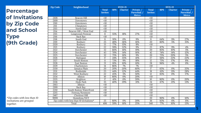**Percentage of Invitations by Zip Code and School Type (9th Grade)**

| <b>Zip Code</b>                          | Neighborhood            | <b>SY20-21</b>                 |            |                | <b>SY21-22</b>                           |                                |            |                  |                                          |
|------------------------------------------|-------------------------|--------------------------------|------------|----------------|------------------------------------------|--------------------------------|------------|------------------|------------------------------------------|
|                                          |                         | <b>Total</b><br><b>Invites</b> | <b>BPS</b> | <b>Charter</b> | Private /<br>Parochial /<br><b>Metco</b> | <b>Total</b><br><b>Invites</b> | <b>BPS</b> | <b>Charter</b>   | Private /<br>Parochial /<br><b>Metco</b> |
| 2108                                     | Beacon Hill             | <10                            |            |                |                                          | <10                            |            |                  |                                          |
| 2109                                     | Downtown                | <10                            |            |                |                                          | <10                            |            |                  |                                          |
| $\overline{2110}$                        | Downtown                | <10                            |            |                |                                          | <10                            |            |                  |                                          |
| 2111                                     | Chinatown               | $\overline{10}$                |            |                |                                          | <10                            |            |                  |                                          |
| 2113                                     | North End               | <10                            |            |                |                                          | <10                            |            |                  |                                          |
| 2114                                     | Beacon Hill / West End  | <10                            |            |                |                                          | <10                            |            |                  |                                          |
| 2115                                     | Longwood/Fenway         | 11                             | 55%        | 18%            | 27%                                      | <10                            |            |                  |                                          |
| 2116                                     | Back Bay                | <10                            |            |                |                                          | <10                            |            |                  |                                          |
| 2118                                     | South End               | 11                             | 91%        | 0%             | 9%                                       | 11                             | 64%        | 9%               | 27%                                      |
| $\overline{2119}$                        | Roxbury                 | $\overline{25}$                | 48%        | 36%            | 16%                                      | $\overline{20}$                | 80%        | 5%               | 15%                                      |
| 2120                                     | Roxbury                 | 13                             | 77%        | 15%            | 8%                                       | <10                            |            |                  |                                          |
| 2121                                     | Roxbury                 | 22                             | 59%        | 32%            | 9%                                       | 23                             | 87%        | 9%               | 4%                                       |
| 2122                                     | Dorchester              | $\overline{32}$                | 66%        | 16%            | 19%                                      | $\overline{20}$                | 85%        | 10%              | 5%                                       |
| 2124                                     | Dorchester              | 43                             | 70%        | 14%            | 16%                                      | 42                             | 74%        | 14%              | 12%                                      |
| 2125                                     | Dorchester              | $\overline{32}$                | 75%        | 16%            | 9%                                       | 20                             | 75%        | 20%              | 5%                                       |
| 2126                                     | Mattapan                | 17                             | 24%        | 35%            | 41%                                      | $\overline{27}$                | 56%        | 22%              | 22%                                      |
| 2127                                     | South Boston            | 11                             | 73%        | 9%             | 18%                                      | $\overline{12}$                | 75%        | 17%              | 8%                                       |
| 2128                                     | East Boston             | $\overline{21}$                | 81%        | 10%            | 10%                                      | $\overline{28}$                | 96%        | 4%               | 0%                                       |
| 2129                                     | Charlestown             | 14                             | 86%        | 7%             | 7%                                       | <10                            |            |                  |                                          |
| 2130                                     | Jamaica Plain           | $\overline{20}$                | 20%        | 20%            | 60%                                      | $\overline{17}$                | 65%        | $\overline{0}$ % | 35%                                      |
| 2131                                     | Roslindale              | $\overline{25}$                | 44%        | 12%            | 44%                                      | 18                             | 61%        | 11%              | 28%                                      |
| 2132                                     | West Roxbury            | 22                             | 45%        | 5%             | 50%                                      | $\overline{12}$                | 83%        | 0%               | 17%                                      |
| 2134                                     | Allston                 | 10                             | 80%        | 0%             | 20%                                      | <10                            |            |                  |                                          |
| 2135                                     | Brighton                | 17                             | 41%        | 0%             | 59%                                      | 10                             | 80%        | 0%               | 20%                                      |
| 2136                                     | Hyde Park               | $\overline{35}$                | 40%        | 29%            | 31%                                      | 24                             | 67%        | 21%              | 13%                                      |
| 2163                                     | Allston                 | <10                            |            |                |                                          | <10                            |            |                  |                                          |
| 2199                                     | <b>Back Bay</b>         | <10                            |            |                |                                          | <10                            |            |                  |                                          |
| 2210                                     | South Boston Waterfront | <10                            |            |                |                                          | <10                            |            |                  |                                          |
| 2215                                     | Fenway/Kenmore          | <10                            |            |                |                                          | <10                            |            |                  |                                          |
| 2467                                     | Chestnut Hill           | <10                            |            |                |                                          | <10                            |            |                  |                                          |
| 9999                                     | Homeless/DCF            |                                |            |                |                                          | 20                             | 90%        | 0%               | 10%                                      |
| Zip codes with less than 10 invitations* |                         | 25                             | 80%        | 0%             | 20%                                      | $\overline{36}$                | 83%        | 6%               | 11%                                      |
| Total                                    |                         | 406                            | 59%        | 16%            | 25%                                      | 340                            | 77%        | 10%              | 13%                                      |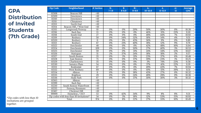## **GPA Distribution of Invited Students (7th Grade)**

| <b>Zip Code</b>                          | Neighborhood            | # Invites        | $B-$             | B                | $B+$      | $A-$        | A           | $A+$ | Average    |
|------------------------------------------|-------------------------|------------------|------------------|------------------|-----------|-------------|-------------|------|------------|
|                                          |                         |                  | $7 - 7.9$        | $8 - 8.9$        | $9 - 9.9$ | $10 - 10.9$ | $11 - 11.9$ | 12   | <b>GPA</b> |
| 02108                                    | Beacon Hill             | <10              |                  |                  |           |             |             |      |            |
| 02109                                    | Downtown                | <10              |                  |                  |           |             |             |      |            |
| 02110                                    | Downtown                | $\overline{<}10$ |                  |                  |           |             |             |      |            |
| 02111                                    | Chinatown               | <10              |                  |                  |           |             |             |      |            |
| 02113                                    | North End               | <10              |                  |                  |           |             |             |      |            |
| 02114                                    | Beacon Hill / West End  | <10              |                  |                  |           |             |             |      |            |
| 02115                                    | Longwood/Fenway         | $\overline{10}$  | 0%               | 0%               | 20%       | 50%         | 30%         | 0%   | 10.38      |
| 02116                                    | Back Bay                | $\overline{13}$  | 0%               | 0%               | 0%        | 46%         | 31%         | 23%  | 11.10      |
| 02118                                    | South End               | 27               | 0%               | 0%               | 0%        | 48%         | 44%         | 7%   | 10.92      |
| 02119                                    | Roxbury                 | $\overline{50}$  | $\overline{0\%}$ | 34%              | 32%       | 16%         | 14%         | 4%   | 9.51       |
| 02120                                    | Roxbury                 | 11               | 0%               | 9%               | 45%       | 36%         | 9%          | 0%   | 9.89       |
| 02121                                    | Roxbury                 | 67               | $\overline{0\%}$ | 21%              | 40%       | 18%         | 12%         | 9%   | 9.79       |
| 02122                                    | Dorchester              | 48               | 0%               | 0%               | 0%        | 42%         | 48%         | 10%  | 11.04      |
| 02124                                    | Dorchester              | 109              | 0%               | 0%               | 30%       | 27%         | 40%         | 3%   | 10.53      |
| 02125                                    | Dorchester              | 59               | 0%               | 0%               | 31%       | 24%         | 34%         | 12%  | 10.67      |
| 02126                                    | Mattapan                | $\overline{51}$  | 2%               | 37%              | 24%       | 18%         | 18%         | 2%   | 9.57       |
| 02127                                    | South Boston            | $\overline{35}$  | 0%               | 3%               | 31%       | 23%         | 37%         | 6%   | 10.48      |
| 02128                                    | East Boston             | 75               | 0%               | 0%               | 37%       | 39%         | 23%         | 1%   | 10.25      |
| 02129                                    | Charlestown             | 35               | 0%               | 0%               | 0%        | 3%          | 74%         | 23%  | 11.56      |
| 02130                                    | Jamaica Plain           | $\overline{54}$  | 0%               | 0%               | 0%        | 37%         | 41%         | 22%  | 11.19      |
| 02131                                    | Roslindale              | 67               | 0%               | 0%               | 0%        | 49%         | 43%         | 7%   | 10.94      |
| 02132                                    | West Roxbury            | 69               | 0%               | $\overline{0\%}$ | 0%        | 10%         | 51%         | 39%  | 11.51      |
| 02134                                    | Allston                 | $\overline{11}$  | 0%               | 9%               | 18%       | 45%         | 27%         | 0%   | 10.32      |
| 02135                                    | Brighton                | 29               | 0%               | 0%               | 24%       | 48%         | 28%         | 0%   | 10.36      |
| 02136                                    | Hyde Park               | 67               | 0%               | 0%               | 37%       | 30%         | 30%         | 3%   | 10.32      |
| 02163                                    | Allston                 | <10              |                  |                  |           |             |             |      |            |
| 02199                                    | <b>Back Bay</b>         | <10              |                  |                  |           |             |             |      |            |
| 02210                                    | South Boston Waterfront | <10              |                  |                  |           |             |             |      |            |
| 02215                                    | Fenway/Kenmore          | <10              |                  |                  |           |             |             |      |            |
| 02467                                    | Chestnut Hill           | <10              |                  |                  |           |             |             |      |            |
| 99999                                    | Homeless / DCF          | 53               | 0%               | 42%              | 34%       | 9%          | 8%          | 8%   | 9.31       |
| Zip codes with less than 10 invitations* |                         | $\overline{34}$  | 0%               | 3%               | 18%       | 12%         | 53%         | 15%  | 10.92      |
| Total                                    |                         | 974              | 0%               | 8%               | 22%       | 27%         | 33%         | 10%  | 10.49      |